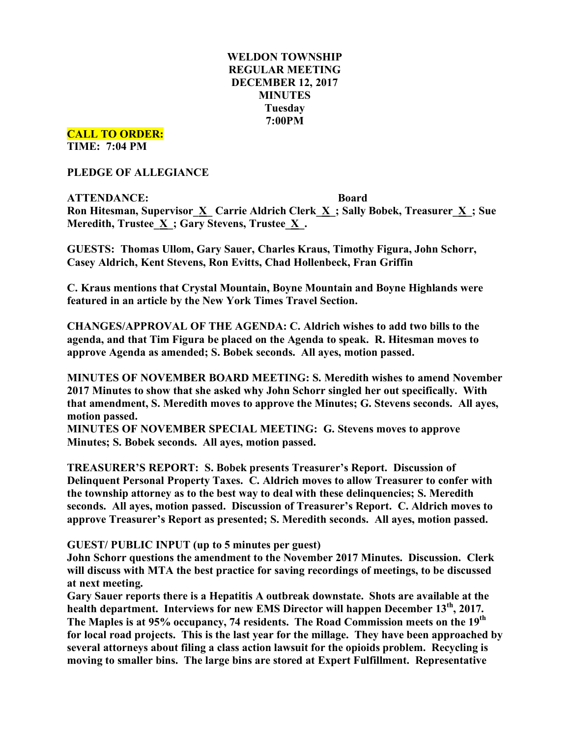# **WELDON TOWNSHIP REGULAR MEETING DECEMBER 12, 2017 MINUTES Tuesday 7:00PM**

**CALL TO ORDER: TIME: 7:04 PM**

**PLEDGE OF ALLEGIANCE**

**ATTENDANCE: Board Ron Hitesman, Supervisor\_X\_ Carrie Aldrich Clerk\_X\_; Sally Bobek, Treasurer\_X\_; Sue Meredith, Trustee**  $\underline{X}$  **; Gary Stevens, Trustee**  $\underline{X}$ **.** 

**GUESTS: Thomas Ullom, Gary Sauer, Charles Kraus, Timothy Figura, John Schorr, Casey Aldrich, Kent Stevens, Ron Evitts, Chad Hollenbeck, Fran Griffin**

**C. Kraus mentions that Crystal Mountain, Boyne Mountain and Boyne Highlands were featured in an article by the New York Times Travel Section.**

**CHANGES/APPROVAL OF THE AGENDA: C. Aldrich wishes to add two bills to the agenda, and that Tim Figura be placed on the Agenda to speak. R. Hitesman moves to approve Agenda as amended; S. Bobek seconds. All ayes, motion passed.**

**MINUTES OF NOVEMBER BOARD MEETING: S. Meredith wishes to amend November 2017 Minutes to show that she asked why John Schorr singled her out specifically. With that amendment, S. Meredith moves to approve the Minutes; G. Stevens seconds. All ayes, motion passed.**

**MINUTES OF NOVEMBER SPECIAL MEETING: G. Stevens moves to approve Minutes; S. Bobek seconds. All ayes, motion passed.**

**TREASURER'S REPORT: S. Bobek presents Treasurer's Report. Discussion of Delinquent Personal Property Taxes. C. Aldrich moves to allow Treasurer to confer with the township attorney as to the best way to deal with these delinquencies; S. Meredith seconds. All ayes, motion passed. Discussion of Treasurer's Report. C. Aldrich moves to approve Treasurer's Report as presented; S. Meredith seconds. All ayes, motion passed.**

**GUEST/ PUBLIC INPUT (up to 5 minutes per guest)**

**John Schorr questions the amendment to the November 2017 Minutes. Discussion. Clerk will discuss with MTA the best practice for saving recordings of meetings, to be discussed at next meeting.**

**Gary Sauer reports there is a Hepatitis A outbreak downstate. Shots are available at the health department. Interviews for new EMS Director will happen December 13th, 2017. The Maples is at 95% occupancy, 74 residents. The Road Commission meets on the 19th for local road projects. This is the last year for the millage. They have been approached by several attorneys about filing a class action lawsuit for the opioids problem. Recycling is moving to smaller bins. The large bins are stored at Expert Fulfillment. Representative**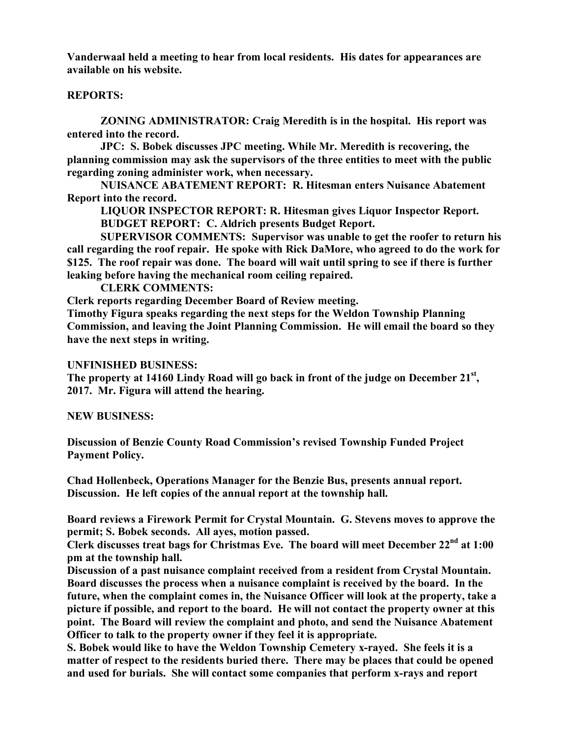**Vanderwaal held a meeting to hear from local residents. His dates for appearances are available on his website.**

#### **REPORTS:**

**ZONING ADMINISTRATOR: Craig Meredith is in the hospital. His report was entered into the record.**

**JPC: S. Bobek discusses JPC meeting. While Mr. Meredith is recovering, the planning commission may ask the supervisors of the three entities to meet with the public regarding zoning administer work, when necessary.**

**NUISANCE ABATEMENT REPORT: R. Hitesman enters Nuisance Abatement Report into the record.**

**LIQUOR INSPECTOR REPORT: R. Hitesman gives Liquor Inspector Report. BUDGET REPORT: C. Aldrich presents Budget Report.**

**SUPERVISOR COMMENTS: Supervisor was unable to get the roofer to return his call regarding the roof repair. He spoke with Rick DaMore, who agreed to do the work for \$125. The roof repair was done. The board will wait until spring to see if there is further leaking before having the mechanical room ceiling repaired.**

**CLERK COMMENTS:**

**Clerk reports regarding December Board of Review meeting.**

**Timothy Figura speaks regarding the next steps for the Weldon Township Planning Commission, and leaving the Joint Planning Commission. He will email the board so they have the next steps in writing.**

### **UNFINISHED BUSINESS:**

**The property at 14160 Lindy Road will go back in front of the judge on December 21st , 2017. Mr. Figura will attend the hearing.**

#### **NEW BUSINESS:**

**Discussion of Benzie County Road Commission's revised Township Funded Project Payment Policy.**

**Chad Hollenbeck, Operations Manager for the Benzie Bus, presents annual report. Discussion. He left copies of the annual report at the township hall.**

**Board reviews a Firework Permit for Crystal Mountain. G. Stevens moves to approve the permit; S. Bobek seconds. All ayes, motion passed.**

**Clerk discusses treat bags for Christmas Eve. The board will meet December 22nd at 1:00 pm at the township hall.**

**Discussion of a past nuisance complaint received from a resident from Crystal Mountain. Board discusses the process when a nuisance complaint is received by the board. In the future, when the complaint comes in, the Nuisance Officer will look at the property, take a picture if possible, and report to the board. He will not contact the property owner at this point. The Board will review the complaint and photo, and send the Nuisance Abatement Officer to talk to the property owner if they feel it is appropriate.**

**S. Bobek would like to have the Weldon Township Cemetery x-rayed. She feels it is a matter of respect to the residents buried there. There may be places that could be opened and used for burials. She will contact some companies that perform x-rays and report**